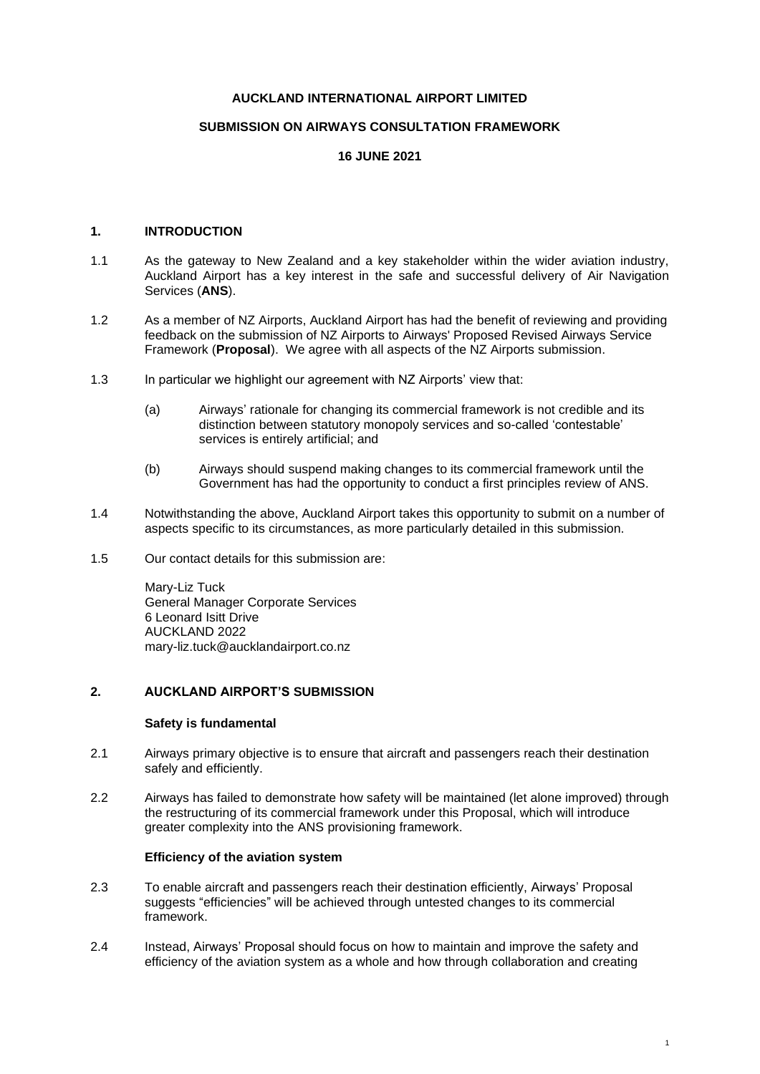#### **AUCKLAND INTERNATIONAL AIRPORT LIMITED**

## **SUBMISSION ON AIRWAYS CONSULTATION FRAMEWORK**

## **16 JUNE 2021**

# **1. INTRODUCTION**

- 1.1 As the gateway to New Zealand and a key stakeholder within the wider aviation industry, Auckland Airport has a key interest in the safe and successful delivery of Air Navigation Services (**ANS**).
- 1.2 As a member of NZ Airports, Auckland Airport has had the benefit of reviewing and providing feedback on the submission of NZ Airports to Airways' Proposed Revised Airways Service Framework (**Proposal**). We agree with all aspects of the NZ Airports submission.
- 1.3 In particular we highlight our agreement with NZ Airports' view that:
	- (a) Airways' rationale for changing its commercial framework is not credible and its distinction between statutory monopoly services and so-called 'contestable' services is entirely artificial; and
	- (b) Airways should suspend making changes to its commercial framework until the Government has had the opportunity to conduct a first principles review of ANS.
- 1.4 Notwithstanding the above, Auckland Airport takes this opportunity to submit on a number of aspects specific to its circumstances, as more particularly detailed in this submission.
- 1.5 Our contact details for this submission are:

Mary-Liz Tuck General Manager Corporate Services 6 Leonard Isitt Drive AUCKLAND 2022 mary-liz.tuck@aucklandairport.co.nz

# **2. AUCKLAND AIRPORT'S SUBMISSION**

#### **Safety is fundamental**

- 2.1 Airways primary objective is to ensure that aircraft and passengers reach their destination safely and efficiently.
- 2.2 Airways has failed to demonstrate how safety will be maintained (let alone improved) through the restructuring of its commercial framework under this Proposal, which will introduce greater complexity into the ANS provisioning framework.

## **Efficiency of the aviation system**

- 2.3 To enable aircraft and passengers reach their destination efficiently, Airways' Proposal suggests "efficiencies" will be achieved through untested changes to its commercial framework.
- 2.4 Instead, Airways' Proposal should focus on how to maintain and improve the safety and efficiency of the aviation system as a whole and how through collaboration and creating